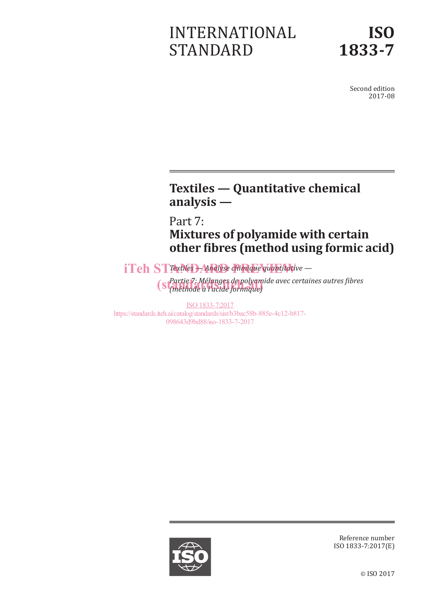# INTERNATIONAL STANDARD

Second edition 2017-08

## **Textiles — Quantitative chemical analysis —**

Part 7:

## **Mixtures of polyamide with certain other fibres (method using formic acid)**

 $iTeh$  STTextiles > Analyse chimique quantitative —

*Partie 7: Mélanges de polyamide avec certaines autres fibres (s Partie 7: Mélanges de polyamine)*<br>(méthode à l'acide formique)

ISO 1833-7:2017 https://standards.iteh.ai/catalog/standards/sist/b3bac58b-885e-4c12-b817- 098643d9bd88/iso-1833-7-2017



Reference number ISO 1833-7:2017(E)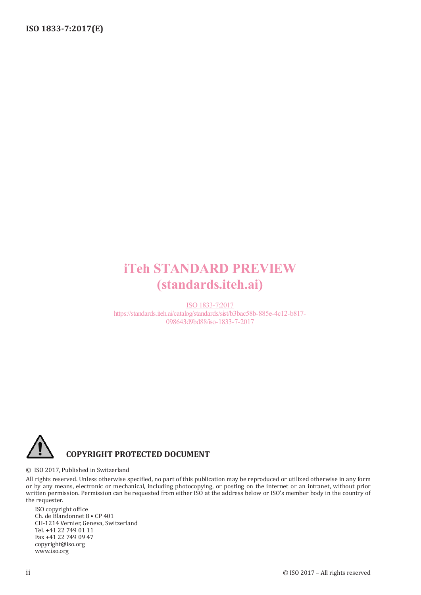## iTeh STANDARD PREVIEW (standards.iteh.ai)

ISO 1833-7:2017 https://standards.iteh.ai/catalog/standards/sist/b3bac58b-885e-4c12-b817- 098643d9bd88/iso-1833-7-2017



#### © ISO 2017, Published in Switzerland

All rights reserved. Unless otherwise specified, no part of this publication may be reproduced or utilized otherwise in any form or by any means, electronic or mechanical, including photocopying, or posting on the internet or an intranet, without prior written permission. Permission can be requested from either ISO at the address below or ISO's member body in the country of the requester.

ISO copyright office Ch. de Blandonnet 8 • CP 401 CH-1214 Vernier, Geneva, Switzerland Tel. +41 22 749 01 11 Fax +41 22 749 09 47 copyright@iso.org www.iso.org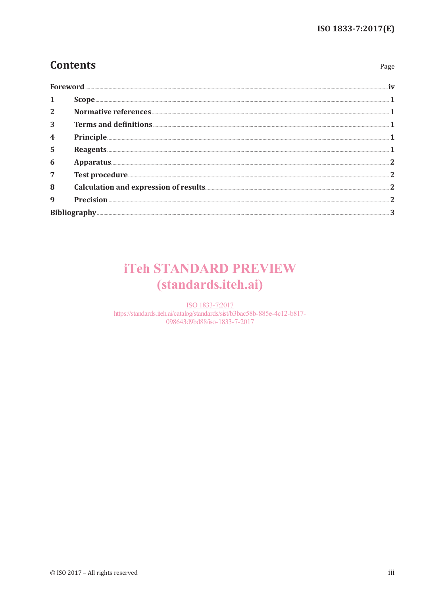Page

### **Contents**

| $\overline{2}$ |                                                                                                                                                                                                                                     |
|----------------|-------------------------------------------------------------------------------------------------------------------------------------------------------------------------------------------------------------------------------------|
| 3              |                                                                                                                                                                                                                                     |
|                |                                                                                                                                                                                                                                     |
| 5              |                                                                                                                                                                                                                                     |
| 6              |                                                                                                                                                                                                                                     |
| $\overline{7}$ |                                                                                                                                                                                                                                     |
| 8              | Calculation and expression of results <b>Expression</b> and expression of results and the set of the set of the set of the set of the set of the set of the set of the set of the set of the set of the set of the set of the set o |
| 9              |                                                                                                                                                                                                                                     |
|                |                                                                                                                                                                                                                                     |

## **iTeh STANDARD PREVIEW** (standards.iteh.ai)

ISO 1833-7:2017 https://standards.iteh.ai/catalog/standards/sist/b3bac58b-885e-4c12-b817-098643d9bd88/iso-1833-7-2017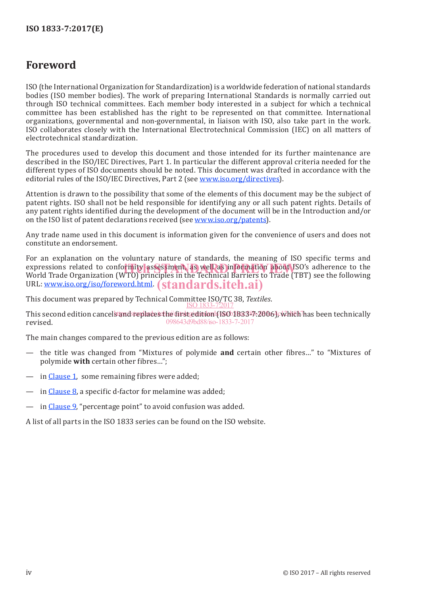### **Foreword**

ISO (the International Organization for Standardization) is a worldwide federation of national standards bodies (ISO member bodies). The work of preparing International Standards is normally carried out through ISO technical committees. Each member body interested in a subject for which a technical committee has been established has the right to be represented on that committee. International organizations, governmental and non-governmental, in liaison with ISO, also take part in the work. ISO collaborates closely with the International Electrotechnical Commission (IEC) on all matters of electrotechnical standardization.

The procedures used to develop this document and those intended for its further maintenance are described in the ISO/IEC Directives, Part 1. In particular the different approval criteria needed for the different types of ISO documents should be noted. This document was drafted in accordance with the editorial rules of the ISO/IEC Directives, Part 2 (see www.iso.org/directives).

Attention is drawn to the possibility that some of the elements of this document may be the subject of patent rights. ISO shall not be held responsible for identifying any or all such patent rights. Details of any patent rights identified during the development of the document will be in the Introduction and/or on the ISO list of patent declarations received (see www.iso.org/patents).

Any trade name used in this document is information given for the convenience of users and does not constitute an endorsement.

For an explanation on the voluntary nature of standards, the meaning of ISO specific terms and expressions related to conformity assessment, as well as information about ISO's adherence to the<br>World Trade Organization (WTO) principles in the Technical Barriers to Trade (TBT) see the following World Trade Organization (WTO) principles in the Technical Barriers to Trade (TBT) see the following URL: <u>www.iso.org/iso/foreword.html</u>. (standards.iteh.ai)

This document was prepared by Technical Committee ISO/TC 38, *Textiles*. ISO 1833-7:2017

This second edition cancels and stephaces the first edition (ISO 183337: 2006), which has been technically revised. 098643d9bd88/iso-1833-7-2017

The main changes compared to the previous edition are as follows:

- the title was changed from "Mixtures of polymide **and** certain other fibres…" to "Mixtures of polymide **with** certain other fibres…";
- in Clause 1, some remaining fibres were added;
- in Clause 8, a specific d-factor for melamine was added;
- in Clause 9, "percentage point" to avoid confusion was added.

A list of all parts in the ISO 1833 series can be found on the ISO website.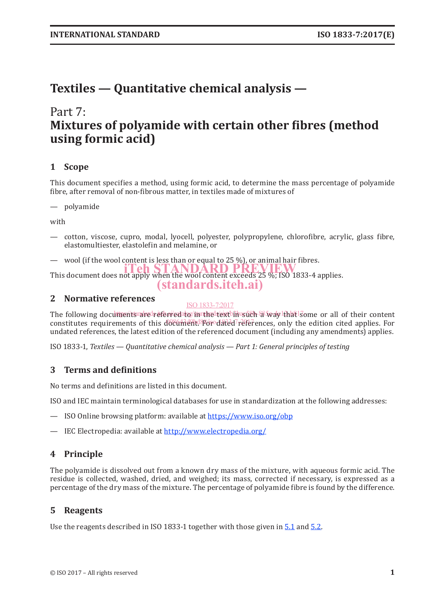### **Textiles — Quantitative chemical analysis —**

### Part 7: **Mixtures of polyamide with certain other fibres (method using formic acid)**

#### **1 Scope**

This document specifies a method, using formic acid, to determine the mass percentage of polyamide fibre, after removal of non-fibrous matter, in textiles made of mixtures of

— polyamide

with

- cotton, viscose, cupro, modal, lyocell, polyester, polypropylene, chlorofibre, acrylic, glass fibre, elastomultiester, elastolefin and melamine, or
- wool (if the wool content is less than or equal to 25 %), or animal hair fibres.

This document does not apply when the wool content exceeds 25 %; ISO 1833-4 applies.

#### (standards.iteh.ai)

#### **2 Normative references**

ISO 1833-7:2017

The following documents are referred to in the text in such  $85$  way that some or all of their content constitutes requirements of this document. For dated references, only the edition cited applies. For undated references, the latest edition of the referenced document (including any amendments) applies.

ISO 1833-1, *Textiles — Quantitative chemical analysis — Part 1: General principles of testing*

#### **3 Terms and definitions**

No terms and definitions are listed in this document.

ISO and IEC maintain terminological databases for use in standardization at the following addresses:

- ISO Online browsing platform: available at https://www.iso.org/obp
- IEC Electropedia: available at http://www.electropedia.org/

#### **4 Principle**

The polyamide is dissolved out from a known dry mass of the mixture, with aqueous formic acid. The residue is collected, washed, dried, and weighed; its mass, corrected if necessary, is expressed as a percentage of the dry mass of the mixture. The percentage of polyamide fibre is found by the difference.

#### **5 Reagents**

Use the reagents described in ISO 1833-1 together with those given in 5.1 and 5.2.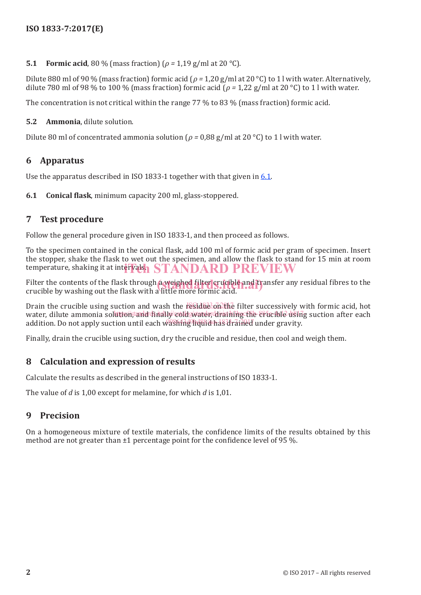**5.1 Formic acid**, 80 % (mass fraction) (*ρ =* 1,19 g/ml at 20 °C).

Dilute 880 ml of 90 % (mass fraction) formic acid (*ρ =* 1,20 g/ml at 20 °C) to 1 l with water. Alternatively, dilute 780 ml of 98 % to 100 % (mass fraction) formic acid (*ρ =* 1,22 g/ml at 20 °C) to 1 l with water.

The concentration is not critical within the range 77 % to 83 % (mass fraction) formic acid.

**5.2 Ammonia**, dilute solution.

Dilute 80 ml of concentrated ammonia solution (*ρ =* 0,88 g/ml at 20 °C) to 1 l with water.

#### **6 Apparatus**

Use the apparatus described in ISO 1833-1 together with that given in 6.1.

**6.1 Conical flask**, minimum capacity 200 ml, glass-stoppered.

#### **7 Test procedure**

Follow the general procedure given in ISO 1833-1, and then proceed as follows.

To the specimen contained in the conical flask, add 100 ml of formic acid per gram of specimen. Insert the stopper, shake the flask to wet out the specimen, and allow the flask to stand for 15 min at room temperature, shaking it at intervalsh STANDARD PREVIEW

Filter the contents of the flask through a weighed filter crucible and transfer any residual fibres to the<br>crucible by washing out the flask with a little more formic acid crucible by washing out the flask with a little more formic acid.

Drain the crucible using suction and wash the residue on the filter successively with formic acid, hot water, dilute ammonia solution, and finally coldswater draining the crucible using suction after each addition. Do not apply suction until each washing liquid has drained under gravity.

Finally, drain the crucible using suction, dry the crucible and residue, then cool and weigh them.

#### **8 Calculation and expression of results**

Calculate the results as described in the general instructions of ISO 1833-1.

The value of *d* is 1,00 except for melamine, for which *d* is 1,01.

#### **9 Precision**

On a homogeneous mixture of textile materials, the confidence limits of the results obtained by this method are not greater than ±1 percentage point for the confidence level of 95 %.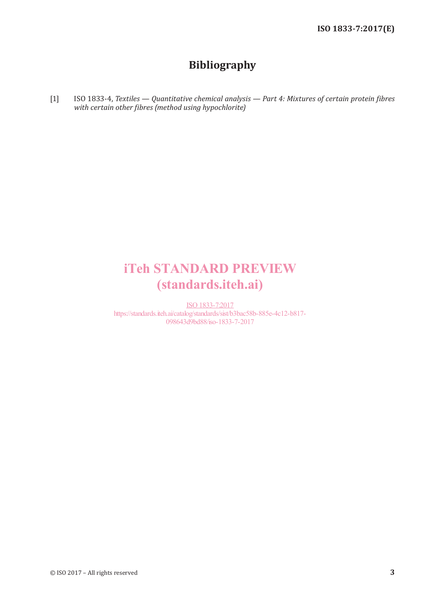### **Bibliography**

[1] ISO 1833-4, *Textiles — Quantitative chemical analysis — Part 4: Mixtures of certain protein fibres with certain other fibres (method using hypochlorite)*

## iTeh STANDARD PREVIEW (standards.iteh.ai)

ISO 1833-7:2017 https://standards.iteh.ai/catalog/standards/sist/b3bac58b-885e-4c12-b817- 098643d9bd88/iso-1833-7-2017